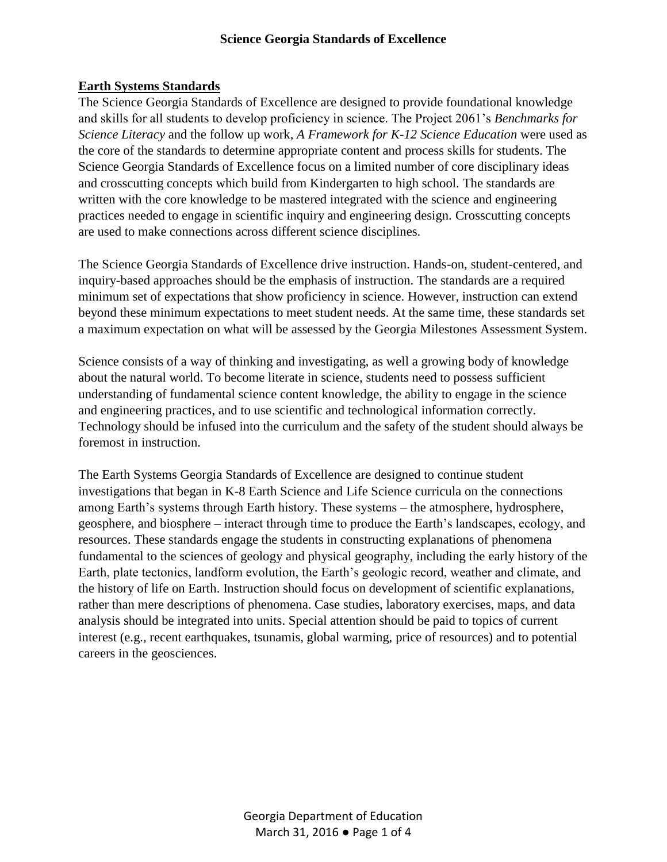#### **Earth Systems Standards**

The Science Georgia Standards of Excellence are designed to provide foundational knowledge and skills for all students to develop proficiency in science. The Project 2061's *Benchmarks for Science Literacy* and the follow up work, *A Framework for K-12 Science Education* were used as the core of the standards to determine appropriate content and process skills for students. The Science Georgia Standards of Excellence focus on a limited number of core disciplinary ideas and crosscutting concepts which build from Kindergarten to high school. The standards are written with the core knowledge to be mastered integrated with the science and engineering practices needed to engage in scientific inquiry and engineering design. Crosscutting concepts are used to make connections across different science disciplines.

The Science Georgia Standards of Excellence drive instruction. Hands-on, student-centered, and inquiry-based approaches should be the emphasis of instruction. The standards are a required minimum set of expectations that show proficiency in science. However, instruction can extend beyond these minimum expectations to meet student needs. At the same time, these standards set a maximum expectation on what will be assessed by the Georgia Milestones Assessment System.

Science consists of a way of thinking and investigating, as well a growing body of knowledge about the natural world. To become literate in science, students need to possess sufficient understanding of fundamental science content knowledge, the ability to engage in the science and engineering practices, and to use scientific and technological information correctly. Technology should be infused into the curriculum and the safety of the student should always be foremost in instruction.

The Earth Systems Georgia Standards of Excellence are designed to continue student investigations that began in K-8 Earth Science and Life Science curricula on the connections among Earth's systems through Earth history. These systems – the atmosphere, hydrosphere, geosphere, and biosphere – interact through time to produce the Earth's landscapes, ecology, and resources. These standards engage the students in constructing explanations of phenomena fundamental to the sciences of geology and physical geography, including the early history of the Earth, plate tectonics, landform evolution, the Earth's geologic record, weather and climate, and the history of life on Earth. Instruction should focus on development of scientific explanations, rather than mere descriptions of phenomena. Case studies, laboratory exercises, maps, and data analysis should be integrated into units. Special attention should be paid to topics of current interest (e.g., recent earthquakes, tsunamis, global warming, price of resources) and to potential careers in the geosciences.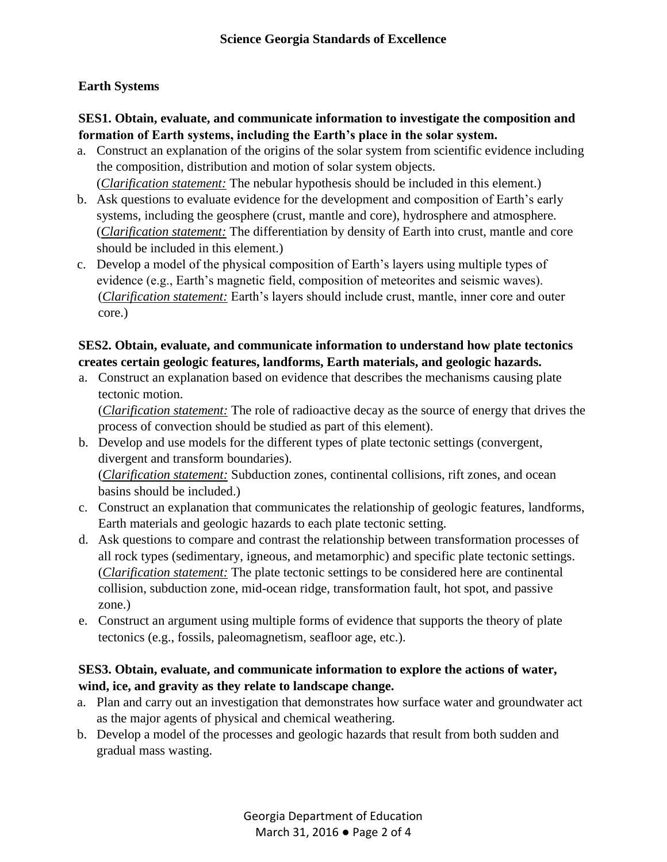# **Earth Systems**

### **SES1. Obtain, evaluate, and communicate information to investigate the composition and formation of Earth systems, including the Earth's place in the solar system.**

- a. Construct an explanation of the origins of the solar system from scientific evidence including the composition, distribution and motion of solar system objects. (*Clarification statement:* The nebular hypothesis should be included in this element.)
- b. Ask questions to evaluate evidence for the development and composition of Earth's early systems, including the geosphere (crust, mantle and core), hydrosphere and atmosphere. (*Clarification statement:* The differentiation by density of Earth into crust, mantle and core should be included in this element.)
- c. Develop a model of the physical composition of Earth's layers using multiple types of evidence (e.g., Earth's magnetic field, composition of meteorites and seismic waves). (*Clarification statement:* Earth's layers should include crust, mantle, inner core and outer core.)

# **SES2. Obtain, evaluate, and communicate information to understand how plate tectonics creates certain geologic features, landforms, Earth materials, and geologic hazards.**

a. Construct an explanation based on evidence that describes the mechanisms causing plate tectonic motion.

(*Clarification statement:* The role of radioactive decay as the source of energy that drives the process of convection should be studied as part of this element).

- b. Develop and use models for the different types of plate tectonic settings (convergent, divergent and transform boundaries). (*Clarification statement:* Subduction zones, continental collisions, rift zones, and ocean basins should be included.)
- c. Construct an explanation that communicates the relationship of geologic features, landforms, Earth materials and geologic hazards to each plate tectonic setting.
- d. Ask questions to compare and contrast the relationship between transformation processes of all rock types (sedimentary, igneous, and metamorphic) and specific plate tectonic settings. (*Clarification statement:* The plate tectonic settings to be considered here are continental collision, subduction zone, mid-ocean ridge, transformation fault, hot spot, and passive zone.)
- e. Construct an argument using multiple forms of evidence that supports the theory of plate tectonics (e.g., fossils, paleomagnetism, seafloor age, etc.).

# **SES3. Obtain, evaluate, and communicate information to explore the actions of water, wind, ice, and gravity as they relate to landscape change.**

- a. Plan and carry out an investigation that demonstrates how surface water and groundwater act as the major agents of physical and chemical weathering.
- b. Develop a model of the processes and geologic hazards that result from both sudden and gradual mass wasting.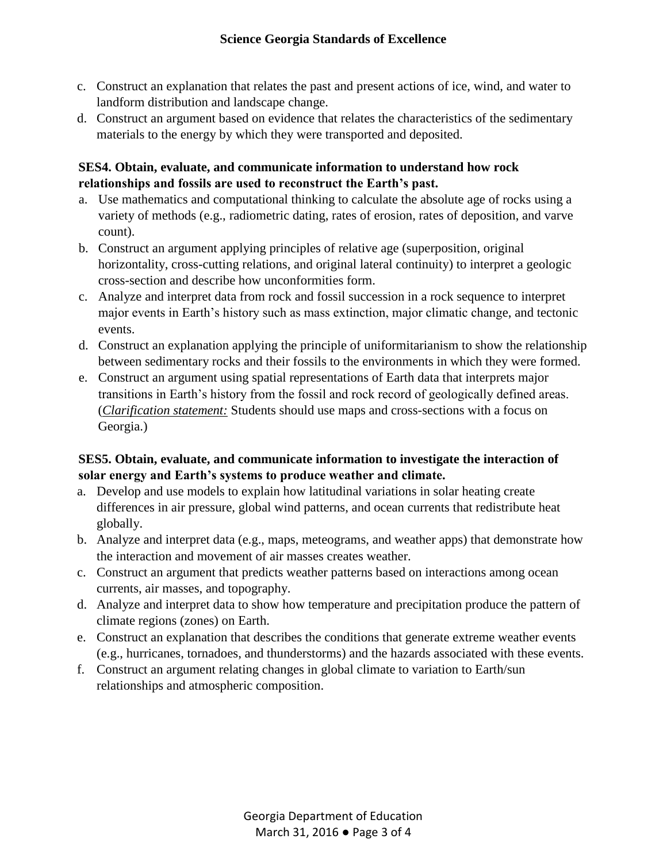- c. Construct an explanation that relates the past and present actions of ice, wind, and water to landform distribution and landscape change.
- d. Construct an argument based on evidence that relates the characteristics of the sedimentary materials to the energy by which they were transported and deposited.

# **SES4. Obtain, evaluate, and communicate information to understand how rock relationships and fossils are used to reconstruct the Earth's past.**

- a. Use mathematics and computational thinking to calculate the absolute age of rocks using a variety of methods (e.g., radiometric dating, rates of erosion, rates of deposition, and varve count).
- b. Construct an argument applying principles of relative age (superposition, original horizontality, cross-cutting relations, and original lateral continuity) to interpret a geologic cross-section and describe how unconformities form.
- c. Analyze and interpret data from rock and fossil succession in a rock sequence to interpret major events in Earth's history such as mass extinction, major climatic change, and tectonic events.
- d. Construct an explanation applying the principle of uniformitarianism to show the relationship between sedimentary rocks and their fossils to the environments in which they were formed.
- e. Construct an argument using spatial representations of Earth data that interprets major transitions in Earth's history from the fossil and rock record of geologically defined areas. (*Clarification statement:* Students should use maps and cross-sections with a focus on Georgia.)

### **SES5. Obtain, evaluate, and communicate information to investigate the interaction of solar energy and Earth's systems to produce weather and climate.**

- a. Develop and use models to explain how latitudinal variations in solar heating create differences in air pressure, global wind patterns, and ocean currents that redistribute heat globally.
- b. Analyze and interpret data (e.g., maps, meteograms, and weather apps) that demonstrate how the interaction and movement of air masses creates weather.
- c. Construct an argument that predicts weather patterns based on interactions among ocean currents, air masses, and topography.
- d. Analyze and interpret data to show how temperature and precipitation produce the pattern of climate regions (zones) on Earth.
- e. Construct an explanation that describes the conditions that generate extreme weather events (e.g., hurricanes, tornadoes, and thunderstorms) and the hazards associated with these events.
- f. Construct an argument relating changes in global climate to variation to Earth/sun relationships and atmospheric composition.